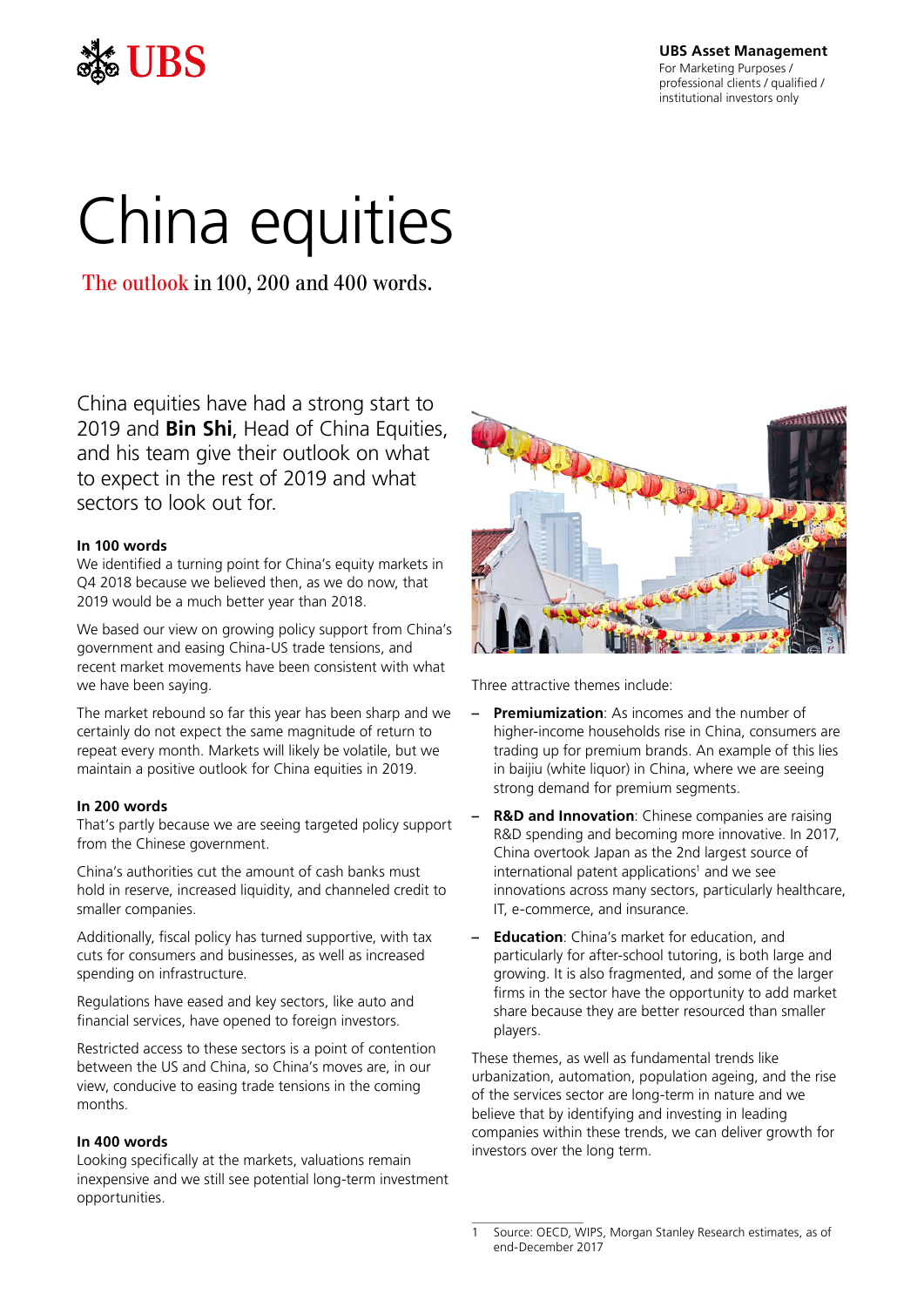

**UBS Asset Management**

For Marketing Purposes / professional clients / qualified / institutional investors only

# China equities

The outlook in 100, 200 and 400 words.

China equities have had a strong start to 2019 and **Bin Shi**, Head of China Equities, and his team give their outlook on what to expect in the rest of 2019 and what sectors to look out for.

# **In 100 words**

We identified a turning point for China's equity markets in Q4 2018 because we believed then, as we do now, that 2019 would be a much better year than 2018.

We based our view on growing policy support from China's government and easing China-US trade tensions, and recent market movements have been consistent with what we have been saying.

The market rebound so far this year has been sharp and we certainly do not expect the same magnitude of return to repeat every month. Markets will likely be volatile, but we maintain a positive outlook for China equities in 2019.

# **In 200 words**

That's partly because we are seeing targeted policy support from the Chinese government.

China's authorities cut the amount of cash banks must hold in reserve, increased liquidity, and channeled credit to smaller companies.

Additionally, fiscal policy has turned supportive, with tax cuts for consumers and businesses, as well as increased spending on infrastructure.

Regulations have eased and key sectors, like auto and financial services, have opened to foreign investors.

Restricted access to these sectors is a point of contention between the US and China, so China's moves are, in our view, conducive to easing trade tensions in the coming months.

# **In 400 words**

Looking specifically at the markets, valuations remain inexpensive and we still see potential long-term investment opportunities.



Three attractive themes include:

- **– Premiumization**: As incomes and the number of higher-income households rise in China, consumers are trading up for premium brands. An example of this lies in baijiu (white liquor) in China, where we are seeing strong demand for premium segments.
- **– R&D and Innovation**: Chinese companies are raising R&D spending and becoming more innovative. In 2017, China overtook Japan as the 2nd largest source of international patent applications<sup>1</sup> and we see innovations across many sectors, particularly healthcare, IT, e-commerce, and insurance.
- **– Education**: China's market for education, and particularly for after-school tutoring, is both large and growing. It is also fragmented, and some of the larger firms in the sector have the opportunity to add market share because they are better resourced than smaller players.

These themes, as well as fundamental trends like urbanization, automation, population ageing, and the rise of the services sector are long-term in nature and we believe that by identifying and investing in leading companies within these trends, we can deliver growth for investors over the long term.

Source: OECD, WIPS, Morgan Stanley Research estimates, as of end-December 2017